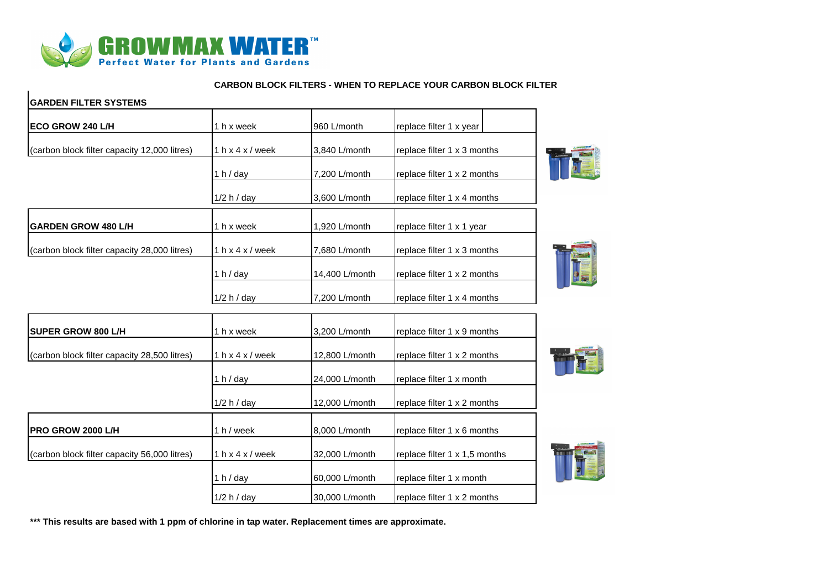

## **CARBON BLOCK FILTERS - WHEN TO REPLACE YOUR CARBON BLOCK FILTER**

| <b>GARDEN FILTER SYSTEMS</b>                 |                              |                |                               |  |
|----------------------------------------------|------------------------------|----------------|-------------------------------|--|
| ECO GROW 240 L/H                             | 1 h x week                   | 960 L/month    | replace filter 1 x year       |  |
| (carbon block filter capacity 12,000 litres) | 1 $h \times 4 \times /$ week | 3,840 L/month  | replace filter 1 x 3 months   |  |
|                                              | 1 h $/$ day                  | 7,200 L/month  | replace filter 1 x 2 months   |  |
|                                              | 1/2 h / day                  | 3,600 L/month  | replace filter 1 x 4 months   |  |
| <b>GARDEN GROW 480 L/H</b>                   | 1 h x week                   | 1,920 L/month  | replace filter 1 x 1 year     |  |
| (carbon block filter capacity 28,000 litres) | 1 $h \times 4 \times /$ week | 7,680 L/month  | replace filter 1 x 3 months   |  |
|                                              | 1 $h$ / day                  | 14,400 L/month | replace filter 1 x 2 months   |  |
|                                              | 1/2 h / day                  | 7.200 L/month  | replace filter 1 x 4 months   |  |
| <b>SUPER GROW 800 L/H</b>                    | 1 h x week                   | 3,200 L/month  | replace filter 1 x 9 months   |  |
| (carbon block filter capacity 28,500 litres) | 1 $h \times 4 \times /$ week | 12,800 L/month | replace filter 1 x 2 months   |  |
|                                              | 1 h $/$ day                  | 24,000 L/month | replace filter 1 x month      |  |
|                                              | 1/2 h / day                  | 12,000 L/month | replace filter 1 x 2 months   |  |
| PRO GROW 2000 L/H                            | 1 h / week                   | 8,000 L/month  | replace filter 1 x 6 months   |  |
| (carbon block filter capacity 56,000 litres) | 1 $h \times 4 \times /$ week | 32,000 L/month | replace filter 1 x 1,5 months |  |
|                                              | 1 h / day                    | 60,000 L/month | replace filter 1 x month      |  |
|                                              | 1/2 h / day                  | 30,000 L/month | replace filter 1 x 2 months   |  |

**\*\*\* This results are based with 1 ppm of chlorine in tap water. Replacement times are approximate.**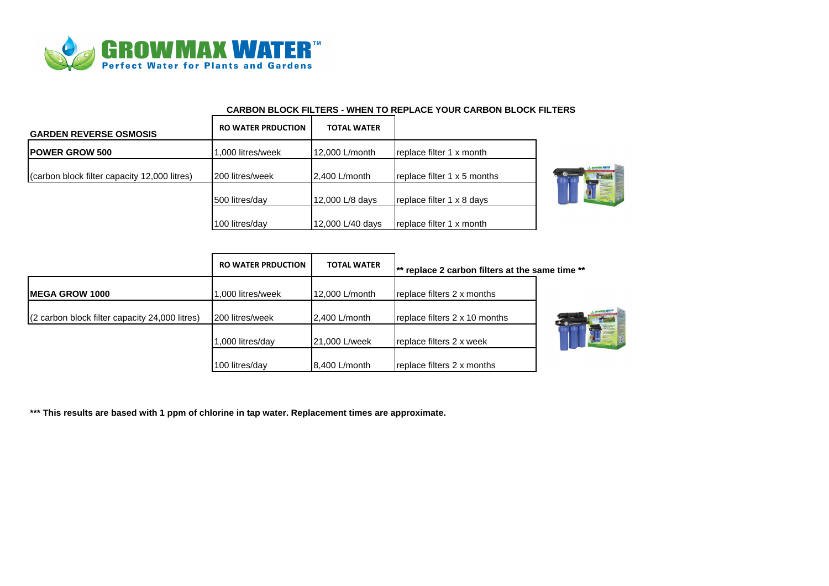

## **CARBON BLOCK FILTERS - WHEN TO REPLACE YOUR CARBON BLOCK FILTERS**

| <b>GARDEN REVERSE OSMOSIS</b>                | <b>RO WATER PRDUCTION</b> | <b>TOTAL WATER</b> |                             |  |
|----------------------------------------------|---------------------------|--------------------|-----------------------------|--|
| <b>IPOWER GROW 500</b>                       | 1,000 litres/week         | 12,000 L/month     | replace filter 1 x month    |  |
| (carbon block filter capacity 12,000 litres) | 200 litres/week           | 2,400 L/month      | replace filter 1 x 5 months |  |
|                                              | 500 litres/day            | 12,000 L/8 days    | replace filter 1 x 8 days   |  |
|                                              | 100 litres/day            | 12,000 L/40 days   | replace filter 1 x month    |  |



|                                                | <b>RO WATER PRDUCTION</b><br>.000 litres/week | <b>TOTAL WATER</b><br>12,000 L/month | $\ast$ replace 2 carbon filters at the same time $**$ |  |
|------------------------------------------------|-----------------------------------------------|--------------------------------------|-------------------------------------------------------|--|
| <b>IMEGA GROW 1000</b>                         |                                               |                                      | replace filters 2 x months                            |  |
| (2 carbon block filter capacity 24,000 litres) | 200 litres/week                               | 2,400 L/month                        | replace filters 2 x 10 months                         |  |
|                                                | ,000 litres/day                               | 21,000 L/week                        | replace filters 2 x week                              |  |
|                                                | 100 litres/day                                | 8,400 L/month                        | replace filters 2 x months                            |  |

**\*\*\* This results are based with 1 ppm of chlorine in tap water. Replacement times are approximate.**